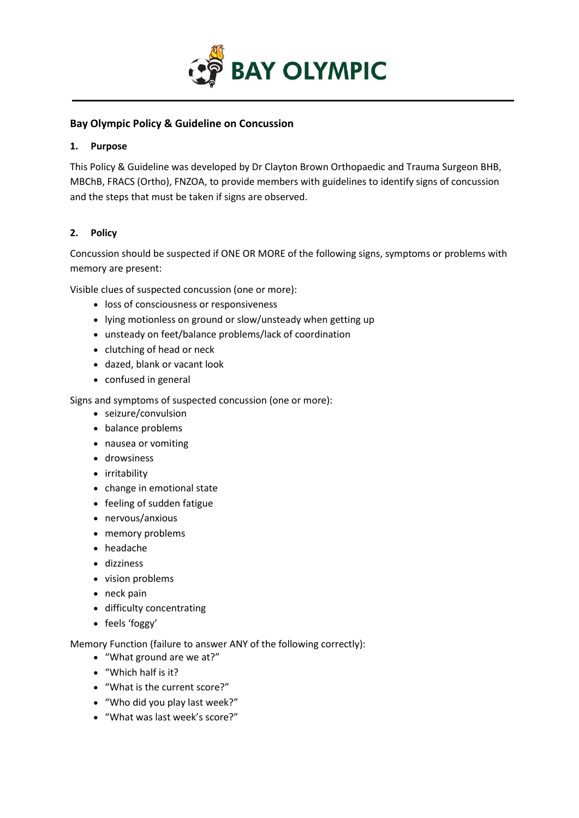

## **Bay Olympic Policy & Guideline on Concussion**

#### **1. Purpose**

This Policy & Guideline was developed by Dr Clayton Brown Orthopaedic and Trauma Surgeon BHB, MBChB, FRACS (Ortho), FNZOA, to provide members with guidelines to identify signs of concussion and the steps that must be taken if signs are observed.

# **2. Policy**

Concussion should be suspected if ONE OR MORE of the following signs, symptoms or problems with memory are present:

Visible clues of suspected concussion (one or more):

- loss of consciousness or responsiveness
- lying motionless on ground or slow/unsteady when getting up
- unsteady on feet/balance problems/lack of coordination
- clutching of head or neck
- dazed, blank or vacant look
- confused in general

Signs and symptoms of suspected concussion (one or more):

- seizure/convulsion
- balance problems
- nausea or vomiting
- drowsiness
- irritability
- change in emotional state
- feeling of sudden fatigue
- nervous/anxious
- memory problems
- headache
- dizziness
- vision problems
- neck pain
- difficulty concentrating
- feels 'foggy'

Memory Function (failure to answer ANY of the following correctly):

- "What ground are we at?"
- "Which half is it?
- "What is the current score?"
- "Who did you play last week?"
- "What was last week's score?"